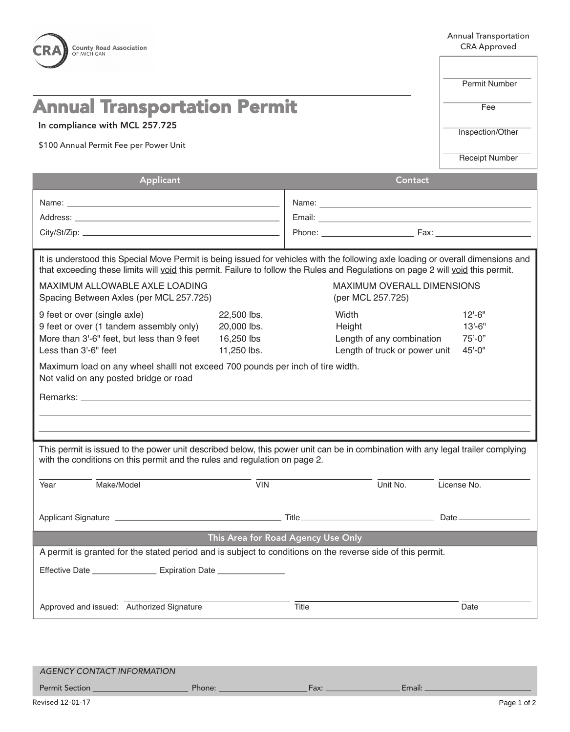| <b>County Road Association</b><br>OF MICHIGAN                                                                                                                                                                                                                                                                                                           | <b>Annual Transportation</b><br><b>CRA Approved</b>     |       |                                                                               |                                                    |  |
|---------------------------------------------------------------------------------------------------------------------------------------------------------------------------------------------------------------------------------------------------------------------------------------------------------------------------------------------------------|---------------------------------------------------------|-------|-------------------------------------------------------------------------------|----------------------------------------------------|--|
| OCEANA COUNTY ROAD COMMISSION                                                                                                                                                                                                                                                                                                                           | Permit Number                                           |       |                                                                               |                                                    |  |
| <b>Annual Transportation Permit</b><br>In compliance with MCL 257.725<br>\$100 Annual Permit Fee per Power Unit                                                                                                                                                                                                                                         |                                                         |       |                                                                               | Fee                                                |  |
|                                                                                                                                                                                                                                                                                                                                                         |                                                         |       |                                                                               | Inspection/Other                                   |  |
|                                                                                                                                                                                                                                                                                                                                                         |                                                         |       |                                                                               | <b>Receipt Number</b>                              |  |
| Applicant                                                                                                                                                                                                                                                                                                                                               |                                                         |       | Contact                                                                       |                                                    |  |
|                                                                                                                                                                                                                                                                                                                                                         |                                                         |       |                                                                               |                                                    |  |
|                                                                                                                                                                                                                                                                                                                                                         |                                                         |       |                                                                               |                                                    |  |
|                                                                                                                                                                                                                                                                                                                                                         |                                                         |       |                                                                               | Phone: Fax: Fax:                                   |  |
| It is understood this Special Move Permit is being issued for vehicles with the following axle loading or overall dimensions and<br>that exceeding these limits will void this permit. Failure to follow the Rules and Regulations on page 2 will void this permit.<br><b>MAXIMUM ALLOWABLE AXLE LOADING</b><br>Spacing Between Axles (per MCL 257.725) |                                                         |       | <b>MAXIMUM OVERALL DIMENSIONS</b><br>(per MCL 257.725)                        |                                                    |  |
| 9 feet or over (single axle)<br>9 feet or over (1 tandem assembly only)<br>More than 3'-6" feet, but less than 9 feet<br>Less than 3'-6" feet                                                                                                                                                                                                           | 22,500 lbs.<br>20,000 lbs.<br>16,250 lbs<br>11,250 lbs. |       | Width<br>Height<br>Length of any combination<br>Length of truck or power unit | $12 - 6"$<br>$13 - 6"$<br>$75' - 0"$<br>$45 - 0$ " |  |
| Maximum load on any wheel shalll not exceed 700 pounds per inch of tire width.<br>Not valid on any posted bridge or road                                                                                                                                                                                                                                |                                                         |       |                                                                               |                                                    |  |
| This permit is issued to the power unit described below, this power unit can be in combination with any legal trailer complying<br>with the conditions on this permit and the rules and regulation on page 2.                                                                                                                                           |                                                         |       |                                                                               |                                                    |  |
| Make/Model<br>Year                                                                                                                                                                                                                                                                                                                                      | VIN                                                     |       | Unit No.                                                                      | License No.                                        |  |
|                                                                                                                                                                                                                                                                                                                                                         |                                                         |       |                                                                               |                                                    |  |
|                                                                                                                                                                                                                                                                                                                                                         | This Area for Road Agency Use Only                      |       |                                                                               |                                                    |  |
| A permit is granted for the stated period and is subject to conditions on the reverse side of this permit.<br>Effective Date _______________________ Expiration Date _________________________                                                                                                                                                          |                                                         |       |                                                                               |                                                    |  |
| Approved and issued: Authorized Signature                                                                                                                                                                                                                                                                                                               |                                                         | Title |                                                                               | Date                                               |  |
|                                                                                                                                                                                                                                                                                                                                                         |                                                         |       |                                                                               |                                                    |  |